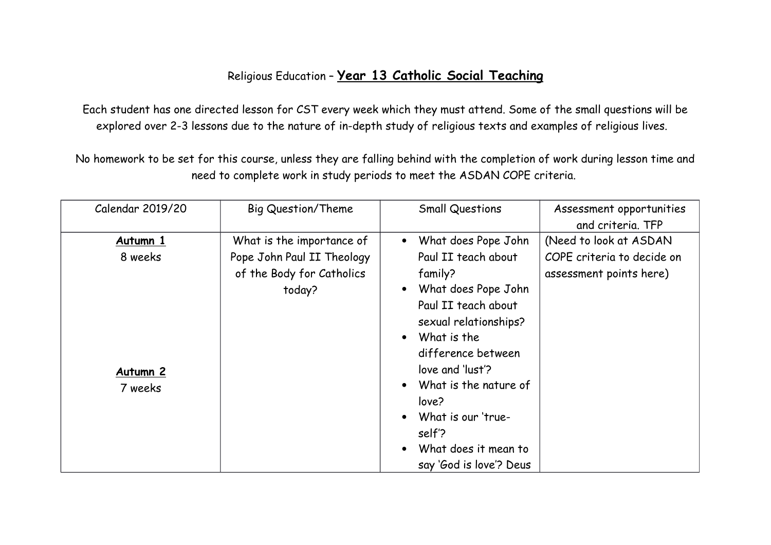## Religious Education – **Year 13 Catholic Social Teaching**

Each student has one directed lesson for CST every week which they must attend. Some of the small questions will be explored over 2-3 lessons due to the nature of in-depth study of religious texts and examples of religious lives.

No homework to be set for this course, unless they are falling behind with the completion of work during lesson time and need to complete work in study periods to meet the ASDAN COPE criteria.

| Calendar 2019/20 | <b>Big Question/Theme</b>  | <b>Small Questions</b>  | Assessment opportunities   |
|------------------|----------------------------|-------------------------|----------------------------|
|                  |                            |                         | and criteria. TFP          |
| <u>Autumn 1</u>  | What is the importance of  | What does Pope John     | (Need to look at ASDAN     |
| 8 weeks          | Pope John Paul II Theology | Paul II teach about     | COPE criteria to decide on |
|                  | of the Body for Catholics  | family?                 | assessment points here)    |
|                  | today?                     | What does Pope John     |                            |
|                  |                            | Paul II teach about     |                            |
|                  |                            | sexual relationships?   |                            |
|                  |                            | What is the             |                            |
|                  |                            | difference between      |                            |
| <u>Autumn 2</u>  |                            | love and 'lust'?        |                            |
| 7 weeks          |                            | What is the nature of   |                            |
|                  |                            | love?                   |                            |
|                  |                            | What is our 'true-      |                            |
|                  |                            | self'?                  |                            |
|                  |                            | What does it mean to    |                            |
|                  |                            | say 'God is love'? Deus |                            |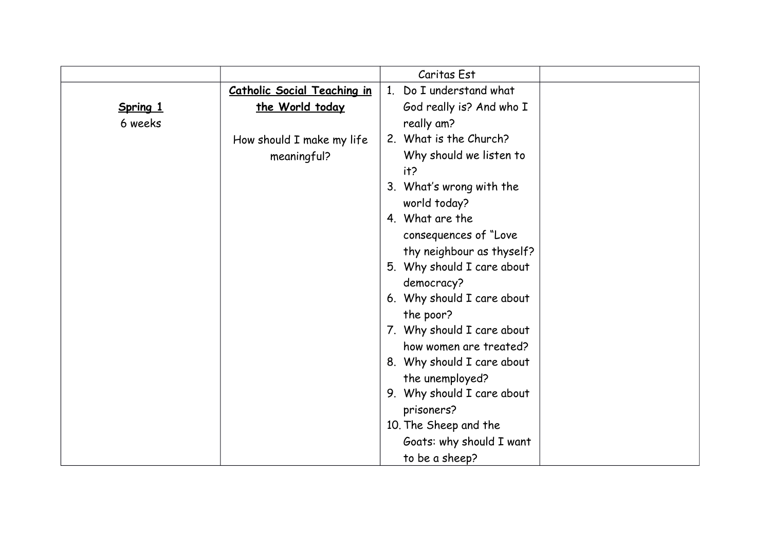|          |                                    | Caritas Est                |
|----------|------------------------------------|----------------------------|
|          | <b>Catholic Social Teaching in</b> | 1. Do I understand what    |
| Spring 1 | the World today                    | God really is? And who I   |
| 6 weeks  |                                    | really am?                 |
|          | How should I make my life          | 2. What is the Church?     |
|          | meaningful?                        | Why should we listen to    |
|          |                                    | it?                        |
|          |                                    | 3. What's wrong with the   |
|          |                                    | world today?               |
|          |                                    | 4. What are the            |
|          |                                    | consequences of "Love      |
|          |                                    | thy neighbour as thyself?  |
|          |                                    | 5. Why should I care about |
|          |                                    | democracy?                 |
|          |                                    | 6. Why should I care about |
|          |                                    | the poor?                  |
|          |                                    | 7. Why should I care about |
|          |                                    | how women are treated?     |
|          |                                    | 8. Why should I care about |
|          |                                    | the unemployed?            |
|          |                                    | 9. Why should I care about |
|          |                                    | prisoners?                 |
|          |                                    | 10. The Sheep and the      |
|          |                                    | Goats: why should I want   |
|          |                                    | to be a sheep?             |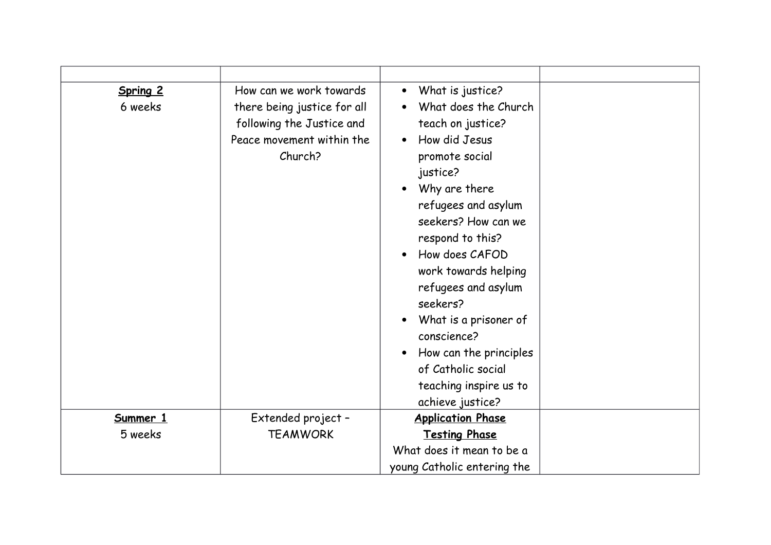| Spring 2<br>6 weeks | How can we work towards<br>there being justice for all<br>following the Justice and<br>Peace movement within the<br>Church? | What is justice?<br>$\bullet$<br>What does the Church<br>teach on justice?<br>How did Jesus<br>$\bullet$<br>promote social<br>justice?<br>Why are there<br>refugees and asylum<br>seekers? How can we<br>respond to this?<br>How does CAFOD<br>work towards helping<br>refugees and asylum<br>seekers?<br>What is a prisoner of<br>conscience?<br>How can the principles<br>$\bullet$<br>of Catholic social<br>teaching inspire us to<br>achieve justice? |
|---------------------|-----------------------------------------------------------------------------------------------------------------------------|-----------------------------------------------------------------------------------------------------------------------------------------------------------------------------------------------------------------------------------------------------------------------------------------------------------------------------------------------------------------------------------------------------------------------------------------------------------|
| Summer 1            | Extended project -                                                                                                          | <b>Application Phase</b>                                                                                                                                                                                                                                                                                                                                                                                                                                  |
| 5 weeks             | <b>TEAMWORK</b>                                                                                                             | <b>Testing Phase</b>                                                                                                                                                                                                                                                                                                                                                                                                                                      |
|                     |                                                                                                                             | What does it mean to be a                                                                                                                                                                                                                                                                                                                                                                                                                                 |
|                     |                                                                                                                             | young Catholic entering the                                                                                                                                                                                                                                                                                                                                                                                                                               |